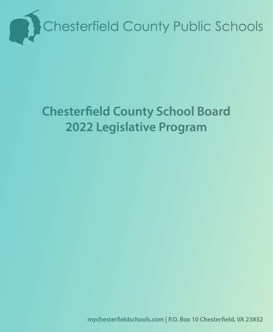

## **Chesterfield County School Board 2022 Legislative Program**

mychesterfieldschools.com | P.O. Box 10 Chesterfield, VA 23832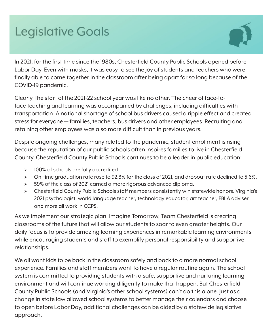### **Legislative Goals**



In 2021, for the first time since the 1980s, Chesterfield County Public Schools opened before Labor Day. Even with masks, it was easy to see the joy of students and teachers who were finally able to come together in the classroom after being apart for so long because of the COVID-19 pandemic.

Clearly, the start of the 2021-22 school year was like no other. The cheer of face-toface teaching and learning was accompanied by challenges, including difficulties with transportation. A national shortage of school bus drivers caused a ripple effect and created stress for everyone — families, teachers, bus drivers and other employees. Recruiting and retaining other employees was also more difficult than in previous years.

Despite ongoing challenges, many related to the pandemic, student enrollment is rising because the reputation of our public schools often inspires families to live in Chesterfield County. Chesterfield County Public Schools continues to be a leader in public education:

- $\geq$  100% of schools are fully accredited.
- $\triangleright$  On-time graduation rate rose to 92.3% for the class of 2021, and dropout rate declined to 5.6%.
- $\geq$  59% of the class of 2021 earned a more rigorous advanced diploma.
- ʆ Chesterfield County Public Schools staff members consistently win statewide honors. Virginia's 2021 psychologist, world language teacher, technology educator, art teacher, FBLA adviser and more all work in CCPS.

As we implement our strategic plan, Imagine Tomorrow, Team Chesterfield is creating classrooms of the future that will allow our students to soar to even greater heights. Our daily focus is to provide amazing learning experiences in remarkable learning environments while encouraging students and staff to exemplify personal responsibility and supportive relationships.

We all want kids to be back in the classroom safely and back to a more normal school experience. Families and staff members want to have a regular routine again. The school system is committed to providing students with a safe, supportive and nurturing learning environment and will continue working diligently to make that happen. But Chesterfield County Public Schools (and Virginia's other school systems) can't do this alone. Just as a change in state law allowed school systems to better manage their calendars and choose to open before Labor Day, additional challenges can be aided by a statewide legislative approach.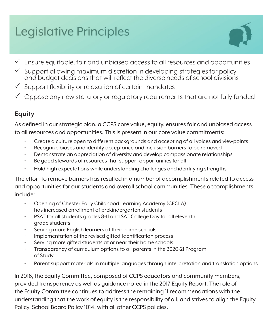# **Legislative Principles**



- $\checkmark$  Ensure equitable, fair and unbiased access to all resources and opportunities
- $\checkmark$  Support allowing maximum discretion in developing strategies for policy and budget decisions that will reflect the diverse needs of school divisions
- $\checkmark$  Support flexibility or relaxation of certain mandates
- $\checkmark$  Oppose any new statutory or regulatory requirements that are not fully funded

#### **Equity**

As defined in our strategic plan, a CCPS core value, equity, ensures fair and unbiased access to all resources and opportunities. This is present in our core value commitments:

- Create a culture open to different backgrounds and accepting of all voices and viewpoints
- Recognize biases and identify acceptance and inclusion barriers to be removed
- Demonstrate an appreciation of diversity and develop compassionate relationships
- Be good stewards of resources that support opportunities for all
- Hold high expectations while understanding challenges and identifying strengths

The effort to remove barriers has resulted in a number of accomplishments related to access and opportunities for our students and overall school communities. These accomplishments include:

- Opening of Chester Early Childhood Learning Academy (CECLA) has increased enrollment of prekindergarten students
- PSAT for all students grades 8-11 and SAT College Day for all eleventh grade students
- Serving more English learners at their home schools
- Implementation of the revised gifted-identification process
- Serving more gifted students at or near their home schools
- Transparency of curriculum options to all parents in the 2020-21 Program of Study
- Parent support materials in multiple languages through interpretation and translation options

In 2016, the Equity Committee, composed of CCPS educators and community members, provided transparency as well as guidance noted in the 2017 Equity Report. The role of the Equity Committee continues to address the remaining 11 recommendations with the understanding that the work of equity is the responsibility of all, and strives to align the Equity Policy, School Board Policy 1014, with all other CCPS policies.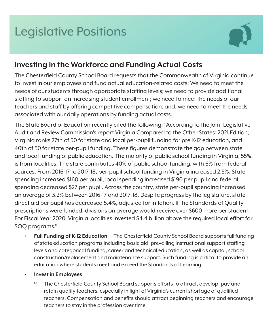

#### **Investing in the Workforce and Funding Actual Costs**

The Chesterfield County School Board requests that the Commonwealth of Virginia continue to invest in our employees and fund actual education-related costs: We need to meet the needs of our students through appropriate staffing levels; we need to provide additional staffing to support an increasing student enrollment; we need to meet the needs of our teachers and staff by offering competitive compensation; and, we need to meet the needs associated with our daily operations by funding actual costs.

The State Board of Education recently cited the following: "According to the Joint Legislative Audit and Review Commission's report Virginia Compared to the Other States: 2021 Edition, Virginia ranks 27th of 50 for state and local per-pupil funding for pre K-12 education, and 40th of 50 for state per-pupil funding. These figures demonstrate the gap between state and local funding of public education. The majority of public school funding in Virginia, 55%, is from localities. The state contributes 40% of public school funding, with 6% from federal sources. From 2016-17 to 2017-18, per-pupil school funding in Virginia increased 2.5%. State spending increased \$160 per pupil, local spending increased \$190 per pupil and federal spending decreased \$27 per pupil. Across the country, state per-pupil spending increased an average of 3.2% between 2016-17 and 2017-18. Despite progress by the legislature, state direct aid per pupil has decreased 5.4%, adjusted for inflation. If the Standards of Quality prescriptions were funded, divisions on average would receive over \$600 more per student. For Fiscal Year 2020, Virginia localities invested \$4.4 billion above the required local effort for SOQ programs."

- **• Full Funding of K-12 Education** The Chesterfield County School Board supports full funding of state education programs including basic aid, prevailing instructional support staffing levels and categorical funding, career and technical education, as well as capital, school construction/replacement and maintenance support. Such funding is critical to provide an education where students meet and exceed the Standards of Learning.
- **• Invest in Employees**
	- <sup>o</sup> The Chesterfield County School Board supports efforts to attract, develop, pay and retain quality teachers, especially in light of Virginia's current shortage of qualified teachers. Compensation and benefits should attract beginning teachers and encourage teachers to stay in the profession over time.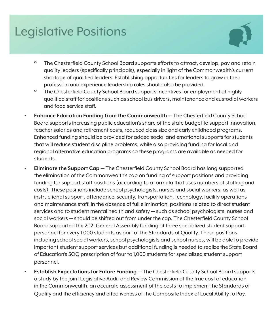

- <sup>o</sup> The Chesterfield County School Board supports efforts to attract, develop, pay and retain quality leaders (specifically principals), especially in light of the Commonwealth's current shortage of qualified leaders. Establishing opportunities for leaders to grow in their profession and experience leadership roles should also be provided.
- <sup>o</sup> The Chesterfield County School Board supports incentives for employment of highly qualified staff for positions such as school bus drivers, maintenance and custodial workers and food service staff.
- **• Enhance Education Funding from the Commonwealth** The Chesterfield County School Board supports increasing public education's share of the state budget to support innovation, teacher salaries and retirement costs, reduced class size and early childhood programs. Enhanced funding should be provided for added social and emotional supports for students that will reduce student discipline problems, while also providing funding for local and regional alternative education programs so these programs are available as needed for students.
- **• Eliminate the Support Cap** The Chesterfield County School Board has long supported the elimination of the Commonwealth's cap on funding of support positions and providing funding for support staff positions (according to a formula that uses numbers of staffing and costs). These positions include school psychologists, nurses and social workers, as well as instructional support, attendance, security, transportation, technology, facility operations and maintenance staff. In the absence of full elimination, positions related to direct student services and to student mental health and safety — such as school psychologists, nurses and social workers — should be shifted out from under the cap. The Chesterfield County School Board supported the 2021 General Assembly funding of three specialized student support personnel for every 1,000 students as part of the Standards of Quality. These positions, including school social workers, school psychologists and school nurses, will be able to provide important student support services but additional funding is needed to realize the State Board of Education's SOQ prescription of four to 1,000 students for specialized student support personnel.
- **• Establish Expectations for Future Funding** The Chesterfield County School Board supports a study by the Joint Legislative Audit and Review Commission of the true cost of education in the Commonwealth, an accurate assessment of the costs to implement the Standards of Quality and the efficiency and effectiveness of the Composite Index of Local Ability to Pay.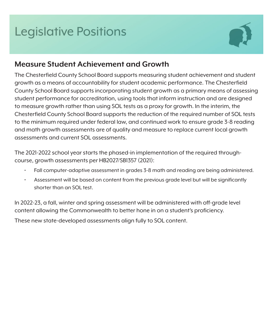

#### **Measure Student Achievement and Growth**

The Chesterfield County School Board supports measuring student achievement and student growth as a means of accountability for student academic performance. The Chesterfield County School Board supports incorporating student growth as a primary means of assessing student performance for accreditation, using tools that inform instruction and are designed to measure growth rather than using SOL tests as a proxy for growth. In the interim, the Chesterfield County School Board supports the reduction of the required number of SOL tests to the minimum required under federal law, and continued work to ensure grade 3-8 reading and math growth assessments are of quality and measure to replace current local growth assessments and current SOL assessments.

The 2021-2022 school year starts the phased-in implementation of the required throughcourse, growth assessments per HB2027/SB1357 (2021):

- Fall computer-adaptive assessment in grades 3-8 math and reading are being administered.
- Assessment will be based on content from the previous grade level but will be significantly shorter than an SOL test.

In 2022-23, a fall, winter and spring assessment will be administered with off-grade level content allowing the Commonwealth to better hone in on a student's proficiency.

These new state-developed assessments align fully to SOL content.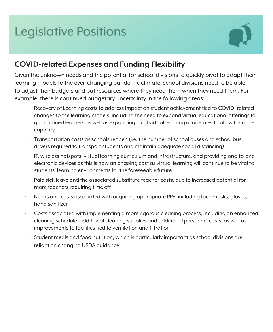

#### **COVID-related Expenses and Funding Flexibility**

Given the unknown needs and the potential for school divisions to quickly pivot to adapt their learning models to the ever-changing pandemic climate, school divisions need to be able to adjust their budgets and put resources where they need them when they need them. For example, there is continued budgetary uncertainty in the following areas:

- Recovery of Learning costs to address impact on student achievement tied to COVID- related changes to the learning models, including the need to expand virtual educational offerings for quarantined learners as well as expanding local virtual learning academies to allow for more capacity
- Transportation costs as schools reopen (i.e. the number of school buses and school bus drivers required to transport students and maintain adequate social distancing)
- IT, wireless hotspots, virtual learning curriculum and infrastructure, and providing one-to-one electronic devices as this is now an ongoing cost as virtual learning will continue to be vital to students' learning environments for the foreseeable future
- Paid sick leave and the associated substitute teacher costs, due to increased potential for more teachers requiring time off
- Needs and costs associated with acquiring appropriate PPE, including face masks, gloves, hand sanitizer
- Costs associated with implementing a more rigorous cleaning process, including an enhanced cleaning schedule, additional cleaning supplies and additional personnel costs, as well as improvements to facilities tied to ventilation and filtration
- Student meals and food nutrition, which is particularly important as school divisions are reliant on changing USDA guidance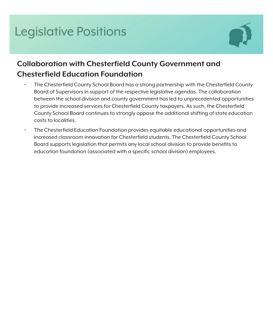

#### **Collaboration with Chesterfield County Government and Chesterfield Education Foundation**

- The Chesterfield County School Board has a strong partnership with the Chesterfield County Board of Supervisors in support of the respective legislative agendas. The collaboration between the school division and county government has led to unprecedented opportunities to provide increased services for Chesterfield County taxpayers. As such, the Chesterfield County School Board continues to strongly oppose the additional shifting of state education costs to localities.
- The Chesterfield Education Foundation provides equitable educational opportunities and increased classroom innovation for Chesterfield students. The Chesterfield County School Board supports legislation that permits any local school division to provide benefits to education foundation (associated with a specific school division) employees.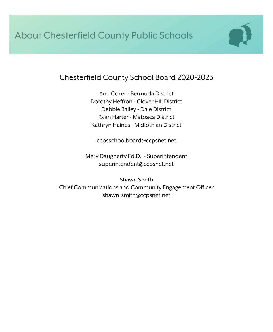

#### Chesterfield County School Board 2020-2023

Ann Coker - Bermuda District Dorothy Heffron - Clover Hill District Debbie Bailey - Dale District Ryan Harter - Matoaca District Kathryn Haines - Midlothian District

ccpsschoolboard@ccpsnet.net

Merv Daugherty Ed.D. - Superintendent superintendent@ccpsnet.net

Shawn Smith Chief Communications and Community Engagement Officer shawn\_smith@ccpsnet.net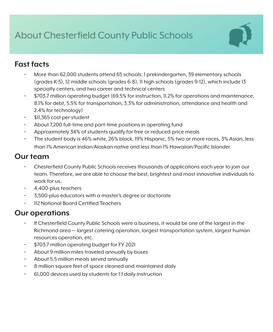### About Chesterfield County Public Schools



#### **Fast facts**

- More than 62,000 students attend 65 schools: 1 prekindergarten, 39 elementary schools (grades K-5), 12 middle schools (grades 6-8), 11 high schools (grades 9-12), which include 13 specialty centers, and two career and technical centers
- \$703.7 million operating budget (69.5% for instruction, 11.2% for operations and maintenance, 8.1% for debt, 5.5% for transportation, 3.3% for administration, attendance and health and 2.4% for technology)
- \$11,365 cost per student
- About 7,200 full-time and part-time positions in operating fund
- Approximately 34% of students qualify for free or reduced-price meals
- The student body is 46% white, 26% black, 19% Hispanic, 5% two or more races, 3% Asian, less than 1% American Indian/Alaskan native and less than 1% Hawaiian/Pacific Islander

#### **Our team**

- Chesterfield County Public Schools receives thousands of applications each year to join our team. Therefore, we are able to choose the best, brightest and most innovative individuals to work for us.
- 4,400-plus teachers
- 3,500-plus educators with a master's degree or doctorate
- 112 National Board Certified Teachers

#### **Our operations**

- If Chesterfield County Public Schools were a business, it would be one of the largest in the Richmond area — largest catering operation, largest transportation system, largest human resources operation, etc.
- \$703.7 million operating budget for FY 2021
- About 9 million miles traveled annually by buses
- About 5.5 million meals served annually
- 8 million square feet of space cleaned and maintained daily
- 61,000 devices used by students for 1:1 daily instruction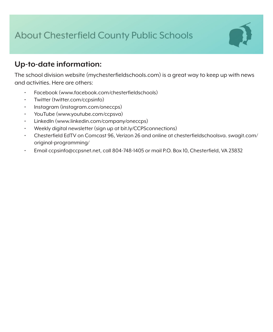### About Chesterfield County Public Schools

#### **Up-to-date information:**

The school division website (mychesterfieldschools.com) is a great way to keep up with news and activities. Here are others:

- Facebook (www.facebook.com/chesterfieldschools)
- Twitter (twitter.com/ccpsinfo)
- Instagram (instagram.com/oneccps)
- YouTube (www.youtube.com/ccpsva)
- LinkedIn (www.linkedin.com/company/oneccps)
- Weekly digital newsletter (sign up at bit.ly/CCPSconnections)
- Chesterfield EdTV on Comcast 96, Verizon 26 and online at chesterfieldschoolsva. swagit.com/ original-programming/
- Email ccpsinfo@ccpsnet.net, call 804-748-1405 or mail P.O. Box 10, Chesterfield, VA 23832